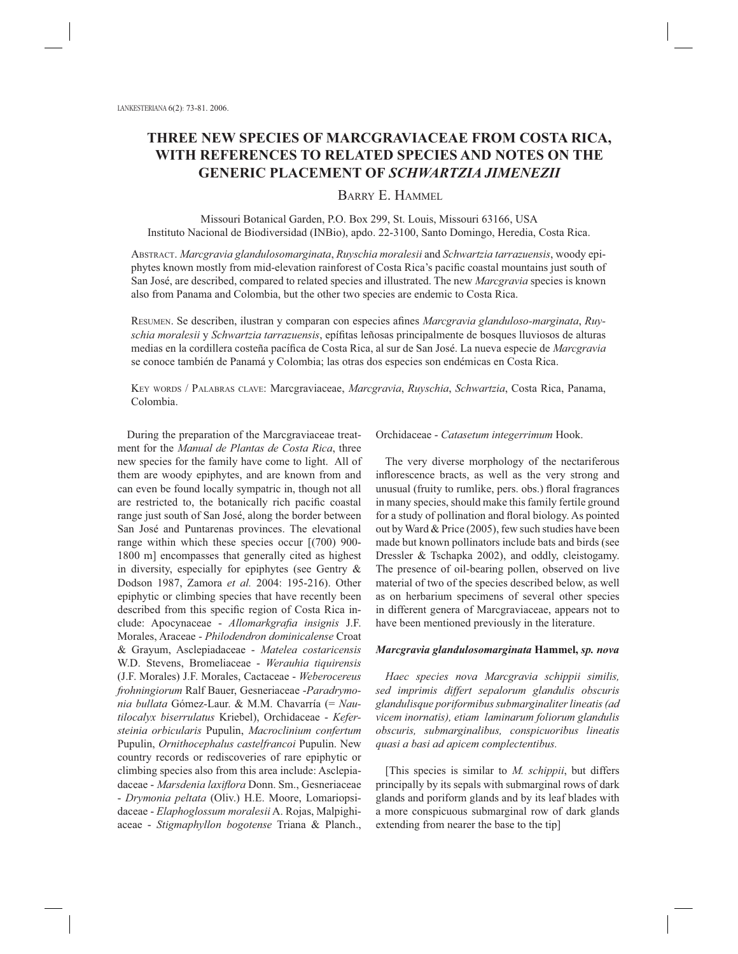# **THREE NEW SPECIES OF MARCGRAVIACEAE FROM COSTA RICA, WITH REFERENCES TO RELATED SPECIES AND NOTES ON THE GENERIC PLACEMENT OF** *SCHWARTZIA JIMENEZII*

## BARRY E. HAMMEL

Missouri Botanical Garden, P.O. Box 299, St. Louis, Missouri 63166, USA Instituto Nacional de Biodiversidad (INBio), apdo. 22-3100, Santo Domingo, Heredia, Costa Rica.

ABSTRACT. *Marcgravia glandulosomarginata*, *Ruyschia moralesii* and *Schwartzia tarrazuensis*, woody epiphytes known mostly from mid-elevation rainforest of Costa Rica's pacific coastal mountains just south of San José, are described, compared to related species and illustrated. The new *Marcgravia* species is known also from Panama and Colombia, but the other two species are endemic to Costa Rica.

RESUMEN. Se describen, ilustran y comparan con especies afines *Marcgravia glanduloso-marginata*, *Ruyschia moralesii* y *Schwartzia tarrazuensis*, epífi tas leñosas principalmente de bosques lluviosos de alturas medias en la cordillera costeña pacífica de Costa Rica, al sur de San José. La nueva especie de *Marcgravia* se conoce también de Panamá y Colombia; las otras dos especies son endémicas en Costa Rica.

KEY WORDS / PALABRAS CLAVE: Marcgraviaceae, *Marcgravia*, *Ruyschia*, *Schwartzia*, Costa Rica, Panama, Colombia.

During the preparation of the Marcgraviaceae treatment for the *Manual de Plantas de Costa Rica*, three new species for the family have come to light. All of them are woody epiphytes, and are known from and can even be found locally sympatric in, though not all are restricted to, the botanically rich pacific coastal range just south of San José, along the border between San José and Puntarenas provinces. The elevational range within which these species occur [(700) 900- 1800 m] encompasses that generally cited as highest in diversity, especially for epiphytes (see Gentry & Dodson 1987, Zamora *et al.* 2004: 195-216). Other epiphytic or climbing species that have recently been described from this specific region of Costa Rica include: Apocynaceae - Allomarkgrafia insignis J.F. Morales, Araceae - *Philodendron dominicalense* Croat & Grayum, Asclepiadaceae - *Matelea costaricensis* W.D. Stevens, Bromeliaceae - *Werauhia tiquirensis* (J.F. Morales) J.F. Morales, Cactaceae - *Weberocereus frohningiorum* Ralf Bauer, Gesneriaceae -*Paradrymonia bullata* Gómez-Laur. & M.M. Chavarría (= *Nautilocalyx biserrulatus* Kriebel), Orchidaceae - *Kefersteinia orbicularis* Pupulin, *Macroclinium confertum* Pupulin, *Ornithocephalus castelfrancoi* Pupulin. New country records or rediscoveries of rare epiphytic or climbing species also from this area include: Asclepiadaceae - *Marsdenia laxiflora* Donn. Sm., Gesneriaceae - *Drymonia peltata* (Oliv.) H.E. Moore, Lomariopsidaceae - *Elaphoglossum moralesii* A. Rojas, Malpighiaceae - *Stigmaphyllon bogotense* Triana & Planch.,

Orchidaceae - *Catasetum integerrimum* Hook.

The very diverse morphology of the nectariferous inflorescence bracts, as well as the very strong and unusual (fruity to rumlike, pers. obs.) floral fragrances in many species, should make this family fertile ground for a study of pollination and floral biology. As pointed out by Ward & Price (2005), few such studies have been made but known pollinators include bats and birds (see Dressler & Tschapka 2002), and oddly, cleistogamy. The presence of oil-bearing pollen, observed on live material of two of the species described below, as well as on herbarium specimens of several other species in different genera of Marcgraviaceae, appears not to have been mentioned previously in the literature.

#### *Marcgravia glandulosomarginata* **Hammel,** *sp. nova*

*Haec species nova Marcgravia schippii similis, sed imprimis differt sepalorum glandulis obscuris glandulisque poriformibus submarginaliter lineatis (ad vicem inornatis), etiam laminarum foliorum glandulis obscuris, submarginalibus, conspicuoribus lineatis quasi a basi ad apicem complectentibus.*

[This species is similar to *M. schippii*, but differs principally by its sepals with submarginal rows of dark glands and poriform glands and by its leaf blades with a more conspicuous submarginal row of dark glands extending from nearer the base to the tip]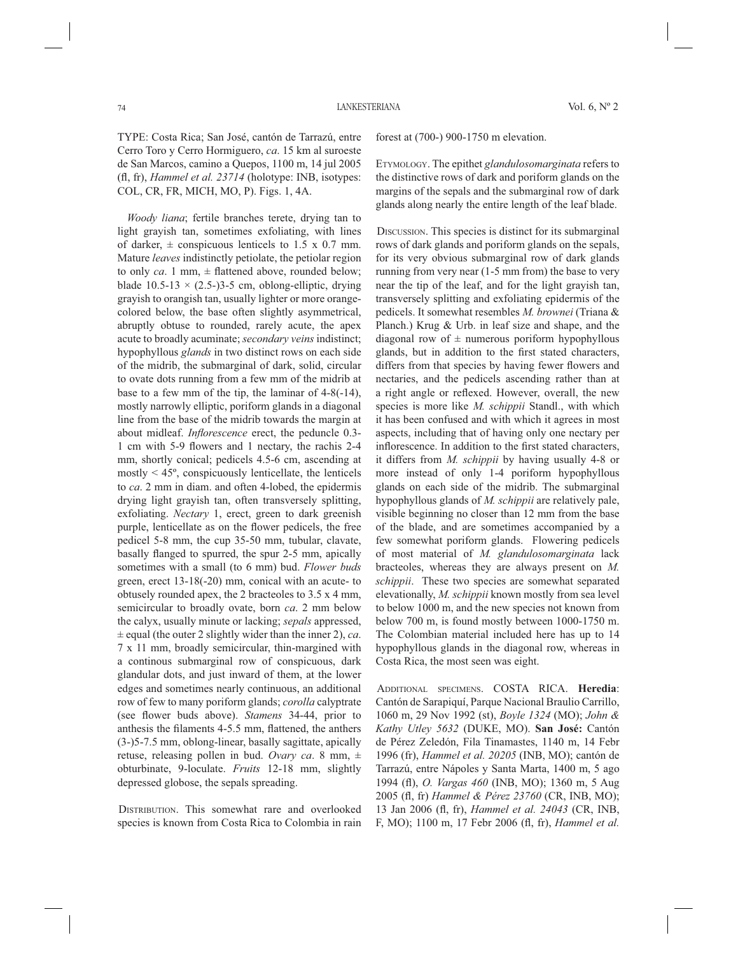TYPE: Costa Rica; San José, cantón de Tarrazú, entre Cerro Toro y Cerro Hormiguero, *ca*. 15 km al suroeste de San Marcos, camino a Quepos, 1100 m, 14 jul 2005 (fl, fr), *Hammel et al. 23714* (holotype: INB, isotypes: COL, CR, FR, MICH, MO, P). Figs. 1, 4A.

*Woody liana*; fertile branches terete, drying tan to light grayish tan, sometimes exfoliating, with lines of darker,  $\pm$  conspicuous lenticels to 1.5 x 0.7 mm. Mature *leaves* indistinctly petiolate, the petiolar region to only  $ca$ . 1 mm,  $\pm$  flattened above, rounded below; blade  $10.5-13 \times (2.5-)3-5$  cm, oblong-elliptic, drying grayish to orangish tan, usually lighter or more orangecolored below, the base often slightly asymmetrical, abruptly obtuse to rounded, rarely acute, the apex acute to broadly acuminate; *secondary veins* indistinct; hypophyllous *glands* in two distinct rows on each side of the midrib, the submarginal of dark, solid, circular to ovate dots running from a few mm of the midrib at base to a few mm of the tip, the laminar of 4-8(-14), mostly narrowly elliptic, poriform glands in a diagonal line from the base of the midrib towards the margin at about midleaf. *Inflorescence* erect, the peduncle 0.3-1 cm with 5-9 flowers and 1 nectary, the rachis 2-4 mm, shortly conical; pedicels 4.5-6 cm, ascending at mostly  $\leq 45^{\circ}$ , conspicuously lenticellate, the lenticels to *ca*. 2 mm in diam. and often 4-lobed, the epidermis drying light grayish tan, often transversely splitting, exfoliating. *Nectary* 1, erect, green to dark greenish purple, lenticellate as on the flower pedicels, the free pedicel 5-8 mm, the cup 35-50 mm, tubular, clavate, basally flanged to spurred, the spur 2-5 mm, apically sometimes with a small (to 6 mm) bud. *Flower buds* green, erect 13-18(-20) mm, conical with an acute- to obtusely rounded apex, the 2 bracteoles to 3.5 x 4 mm, semicircular to broadly ovate, born *ca*. 2 mm below the calyx, usually minute or lacking; *sepals* appressed, ± equal (the outer 2 slightly wider than the inner 2), *ca*. 7 x 11 mm, broadly semicircular, thin-margined with a continous submarginal row of conspicuous, dark glandular dots, and just inward of them, at the lower edges and sometimes nearly continuous, an additional row of few to many poriform glands; *corolla* calyptrate (see flower buds above). *Stamens* 34-44, prior to anthesis the filaments 4-5.5 mm, flattened, the anthers (3-)5-7.5 mm, oblong-linear, basally sagittate, apically retuse, releasing pollen in bud. *Ovary ca*. 8 mm, ± obturbinate, 9-loculate. *Fruits* 12-18 mm, slightly depressed globose, the sepals spreading.

DISTRIBUTION. This somewhat rare and overlooked species is known from Costa Rica to Colombia in rain forest at (700-) 900-1750 m elevation.

ETYMOLOGY. The epithet *glandulosomarginata* refers to the distinctive rows of dark and poriform glands on the margins of the sepals and the submarginal row of dark glands along nearly the entire length of the leaf blade.

DISCUSSION. This species is distinct for its submarginal rows of dark glands and poriform glands on the sepals, for its very obvious submarginal row of dark glands running from very near (1-5 mm from) the base to very near the tip of the leaf, and for the light grayish tan, transversely splitting and exfoliating epidermis of the pedicels. It somewhat resembles *M. brownei* (Triana & Planch.) Krug & Urb. in leaf size and shape, and the diagonal row of  $\pm$  numerous poriform hypophyllous glands, but in addition to the first stated characters, differs from that species by having fewer flowers and nectaries, and the pedicels ascending rather than at a right angle or reflexed. However, overall, the new species is more like *M. schippii* Standl., with which it has been confused and with which it agrees in most aspects, including that of having only one nectary per inflorescence. In addition to the first stated characters, it differs from *M. schippii* by having usually 4-8 or more instead of only 1-4 poriform hypophyllous glands on each side of the midrib. The submarginal hypophyllous glands of *M. schippii* are relatively pale, visible beginning no closer than 12 mm from the base of the blade, and are sometimes accompanied by a few somewhat poriform glands. Flowering pedicels of most material of *M. glandulosomarginata* lack bracteoles, whereas they are always present on *M. schippii*. These two species are somewhat separated elevationally, *M. schippii* known mostly from sea level to below 1000 m, and the new species not known from below 700 m, is found mostly between 1000-1750 m. The Colombian material included here has up to 14 hypophyllous glands in the diagonal row, whereas in Costa Rica, the most seen was eight.

ADDITIONAL SPECIMENS. COSTA RICA. **Heredia**: Cantón de Sarapiquí, Parque Nacional Braulio Carrillo, 1060 m, 29 Nov 1992 (st), *Boyle 1324* (MO); *John & Kathy Utley 5632* (DUKE, MO). **San José:** Cantón de Pérez Zeledón, Fila Tinamastes, 1140 m, 14 Febr 1996 (fr), *Hammel et al. 20205* (INB, MO); cantón de Tarrazú, entre Nápoles y Santa Marta, 1400 m, 5 ago 1994 (fl ), *O. Vargas 460* (INB, MO); 1360 m, 5 Aug 2005 (fl, fr) *Hammel & Pérez 23760* (CR, INB, MO); 13 Jan 2006 (fl, fr), *Hammel et al. 24043* (CR, INB, F, MO); 1100 m, 17 Febr 2006 (fl , fr), *Hammel et al.*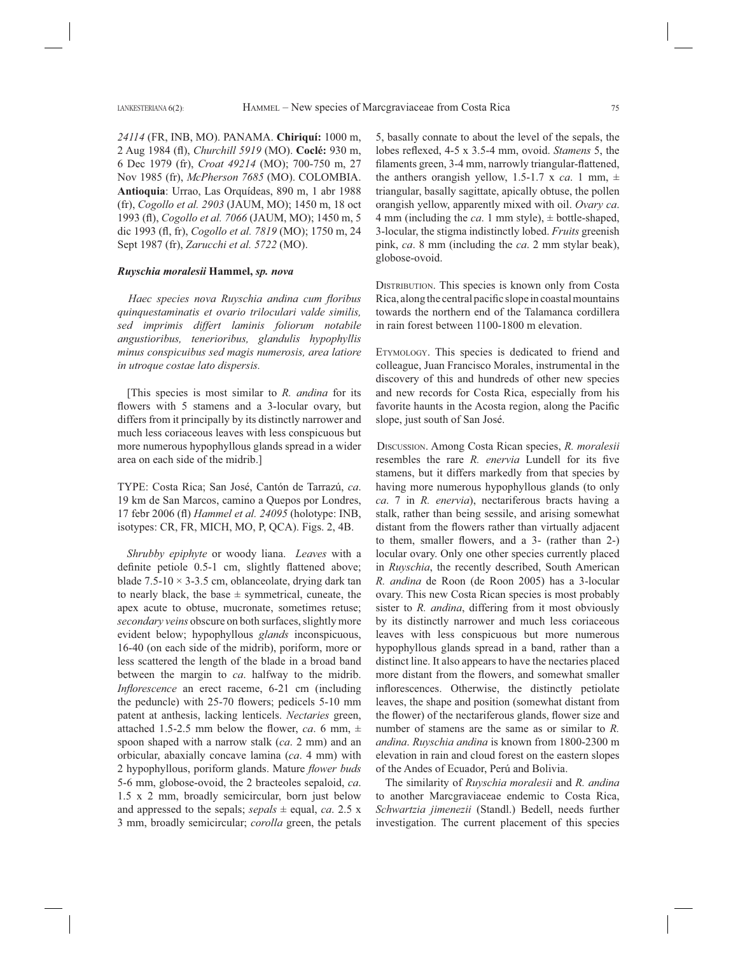*24114* (FR, INB, MO). PANAMA. **Chiriquí:** 1000 m, 2 Aug 1984 (fl ), *Churchill 5919* (MO). **Coclé:** 930 m, 6 Dec 1979 (fr), *Croat 49214* (MO); 700-750 m, 27 Nov 1985 (fr), *McPherson 7685* (MO). COLOMBIA. **Antioquia**: Urrao, Las Orquídeas, 890 m, 1 abr 1988 (fr), *Cogollo et al. 2903* (JAUM, MO); 1450 m, 18 oct 1993 (fl ), *Cogollo et al. 7066* (JAUM, MO); 1450 m, 5 dic 1993 (fl, fr), *Cogollo et al. 7819* (MO); 1750 m, 24 Sept 1987 (fr), *Zarucchi et al. 5722* (MO).

### *Ruyschia moralesii* **Hammel,** *sp. nova*

*Haec species nova Ruyschia andina cum floribus quinquestaminatis et ovario triloculari valde similis, sed imprimis differt laminis foliorum notabile angustioribus, tenerioribus, glandulis hypophyllis minus conspicuibus sed magis numerosis, area latiore in utroque costae lato dispersis.*

[This species is most similar to *R. andina* for its flowers with 5 stamens and a 3-locular ovary, but differs from it principally by its distinctly narrower and much less coriaceous leaves with less conspicuous but more numerous hypophyllous glands spread in a wider area on each side of the midrib.]

TYPE: Costa Rica; San José, Cantón de Tarrazú, *ca*. 19 km de San Marcos, camino a Quepos por Londres, 17 febr 2006 (fl ) *Hammel et al. 24095* (holotype: INB, isotypes: CR, FR, MICH, MO, P, QCA). Figs. 2, 4B.

*Shrubby epiphyte* or woody liana. *Leaves* with a definite petiole 0.5-1 cm, slightly flattened above; blade  $7.5\n-10 \times 3\n-3.5$  cm, oblanceolate, drying dark tan to nearly black, the base  $\pm$  symmetrical, cuneate, the apex acute to obtuse, mucronate, sometimes retuse; *secondary veins* obscure on both surfaces, slightly more evident below; hypophyllous *glands* inconspicuous, 16-40 (on each side of the midrib), poriform, more or less scattered the length of the blade in a broad band between the margin to *ca*. halfway to the midrib. *Inflorescence* an erect raceme, 6-21 cm (including the peduncle) with  $25-70$  flowers; pedicels  $5-10$  mm patent at anthesis, lacking lenticels. *Nectaries* green, attached 1.5-2.5 mm below the flower, *ca*. 6 mm,  $\pm$ spoon shaped with a narrow stalk (*ca*. 2 mm) and an orbicular, abaxially concave lamina (*ca*. 4 mm) with 2 hypophyllous, poriform glands. Mature *flower buds* 5-6 mm, globose-ovoid, the 2 bracteoles sepaloid, *ca*. 1.5 x 2 mm, broadly semicircular, born just below and appressed to the sepals;  $sepals \pm \text{equal}, ca. 2.5 \times \text{m}$ 3 mm, broadly semicircular; *corolla* green, the petals

5, basally connate to about the level of the sepals, the lobes reflexed, 4-5 x 3.5-4 mm, ovoid. *Stamens* 5, the filaments green, 3-4 mm, narrowly triangular-flattened, the anthers orangish yellow, 1.5-1.7 x *ca*. 1 mm,  $\pm$ triangular, basally sagittate, apically obtuse, the pollen orangish yellow, apparently mixed with oil. *Ovary ca*. 4 mm (including the *ca*. 1 mm style),  $\pm$  bottle-shaped, 3-locular, the stigma indistinctly lobed. *Fruits* greenish pink, *ca*. 8 mm (including the *ca*. 2 mm stylar beak), globose-ovoid.

DISTRIBUTION. This species is known only from Costa Rica, along the central pacific slope in coastal mountains towards the northern end of the Talamanca cordillera in rain forest between 1100-1800 m elevation.

ETYMOLOGY. This species is dedicated to friend and colleague, Juan Francisco Morales, instrumental in the discovery of this and hundreds of other new species and new records for Costa Rica, especially from his favorite haunts in the Acosta region, along the Pacific slope, just south of San José.

DISCUSSION. Among Costa Rican species, *R. moralesii* resembles the rare *R. enervia* Lundell for its five stamens, but it differs markedly from that species by having more numerous hypophyllous glands (to only *ca*. 7 in *R. enervia*), nectariferous bracts having a stalk, rather than being sessile, and arising somewhat distant from the flowers rather than virtually adjacent to them, smaller flowers, and a 3- (rather than 2-) locular ovary. Only one other species currently placed in *Ruyschia*, the recently described, South American *R. andina* de Roon (de Roon 2005) has a 3-locular ovary. This new Costa Rican species is most probably sister to *R. andina*, differing from it most obviously by its distinctly narrower and much less coriaceous leaves with less conspicuous but more numerous hypophyllous glands spread in a band, rather than a distinct line. It also appears to have the nectaries placed more distant from the flowers, and somewhat smaller inflorescences. Otherwise, the distinctly petiolate leaves, the shape and position (somewhat distant from the flower) of the nectariferous glands, flower size and number of stamens are the same as or similar to *R. andina*. *Ruyschia andina* is known from 1800-2300 m elevation in rain and cloud forest on the eastern slopes of the Andes of Ecuador, Perú and Bolivia.

The similarity of *Ruyschia moralesii* and *R. andina* to another Marcgraviaceae endemic to Costa Rica, *Schwartzia jimenezii* (Standl.) Bedell, needs further investigation. The current placement of this species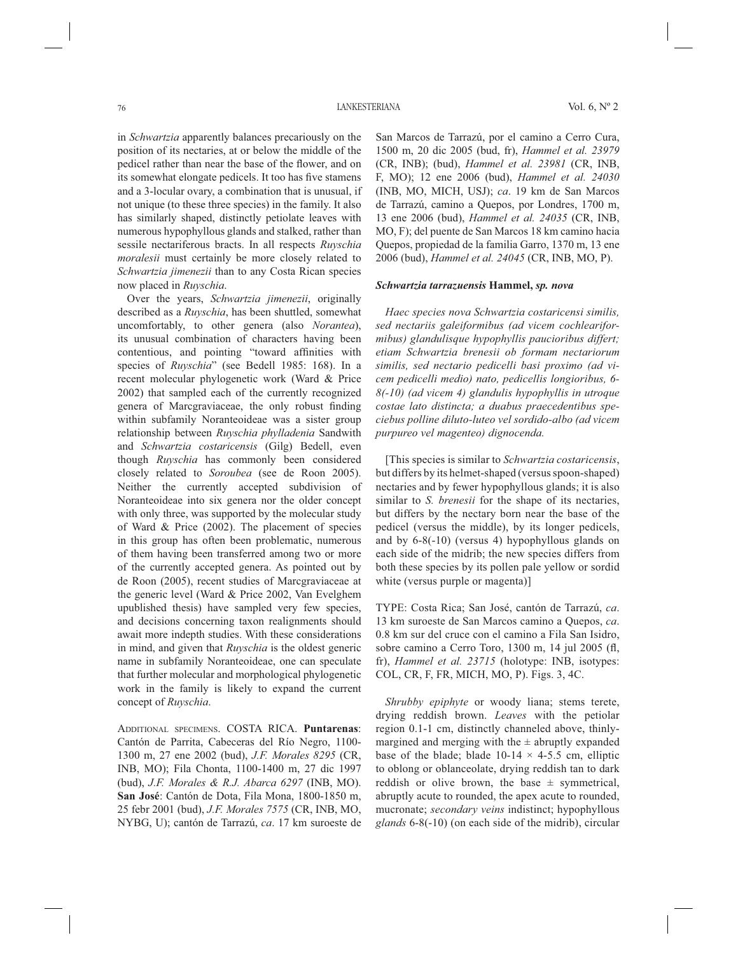in *Schwartzia* apparently balances precariously on the position of its nectaries, at or below the middle of the pedicel rather than near the base of the flower, and on its somewhat elongate pedicels. It too has five stamens and a 3-locular ovary, a combination that is unusual, if not unique (to these three species) in the family. It also has similarly shaped, distinctly petiolate leaves with numerous hypophyllous glands and stalked, rather than sessile nectariferous bracts. In all respects *Ruyschia moralesii* must certainly be more closely related to *Schwartzia jimenezii* than to any Costa Rican species now placed in *Ruyschia*.

Over the years, *Schwartzia jimenezii*, originally described as a *Ruyschia*, has been shuttled, somewhat uncomfortably, to other genera (also *Norantea*), its unusual combination of characters having been contentious, and pointing "toward affinities with species of *Ruyschia*" (see Bedell 1985: 168). In a recent molecular phylogenetic work (Ward & Price 2002) that sampled each of the currently recognized genera of Marcgraviaceae, the only robust finding within subfamily Noranteoideae was a sister group relationship between *Ruyschia phylladenia* Sandwith and *Schwartzia costaricensis* (Gilg) Bedell, even though *Ruyschia* has commonly been considered closely related to *Soroubea* (see de Roon 2005). Neither the currently accepted subdivision of Noranteoideae into six genera nor the older concept with only three, was supported by the molecular study of Ward & Price (2002). The placement of species in this group has often been problematic, numerous of them having been transferred among two or more of the currently accepted genera. As pointed out by de Roon (2005), recent studies of Marcgraviaceae at the generic level (Ward & Price 2002, Van Evelghem upublished thesis) have sampled very few species, and decisions concerning taxon realignments should await more indepth studies. With these considerations in mind, and given that *Ruyschia* is the oldest generic name in subfamily Noranteoideae, one can speculate that further molecular and morphological phylogenetic work in the family is likely to expand the current concept of *Ruyschia*.

ADDITIONAL SPECIMENS. COSTA RICA. **Puntarenas**: Cantón de Parrita, Cabeceras del Río Negro, 1100- 1300 m, 27 ene 2002 (bud), *J.F. Morales 8295* (CR, INB, MO); Fila Chonta, 1100-1400 m, 27 dic 1997 (bud), *J.F. Morales & R.J. Abarca 6297* (INB, MO). **San José**: Cantón de Dota, Fila Mona, 1800-1850 m, 25 febr 2001 (bud), *J.F. Morales 7575* (CR, INB, MO, NYBG, U); cantón de Tarrazú, *ca*. 17 km suroeste de San Marcos de Tarrazú, por el camino a Cerro Cura, 1500 m, 20 dic 2005 (bud, fr), *Hammel et al. 23979* (CR, INB); (bud), *Hammel et al. 23981* (CR, INB, F, MO); 12 ene 2006 (bud), *Hammel et al. 24030* (INB, MO, MICH, USJ); *ca*. 19 km de San Marcos de Tarrazú, camino a Quepos, por Londres, 1700 m, 13 ene 2006 (bud), *Hammel et al. 24035* (CR, INB, MO, F); del puente de San Marcos 18 km camino hacia Quepos, propiedad de la familia Garro, 1370 m, 13 ene 2006 (bud), *Hammel et al. 24045* (CR, INB, MO, P).

#### *Schwartzia tarrazuensis* **Hammel,** *sp. nova*

*Haec species nova Schwartzia costaricensi similis, sed nectariis galeiformibus (ad vicem cochleariformibus) glandulisque hypophyllis paucioribus differt; etiam Schwartzia brenesii ob formam nectariorum similis, sed nectario pedicelli basi proximo (ad vicem pedicelli medio) nato, pedicellis longioribus, 6- 8(-10) (ad vicem 4) glandulis hypophyllis in utroque costae lato distincta; a duabus praecedentibus speciebus polline diluto-luteo vel sordido-albo (ad vicem purpureo vel magenteo) dignocenda.*

[This species is similar to *Schwartzia costaricensis*, but differs by its helmet-shaped (versus spoon-shaped) nectaries and by fewer hypophyllous glands; it is also similar to *S. brenesii* for the shape of its nectaries, but differs by the nectary born near the base of the pedicel (versus the middle), by its longer pedicels, and by 6-8(-10) (versus 4) hypophyllous glands on each side of the midrib; the new species differs from both these species by its pollen pale yellow or sordid white (versus purple or magenta)]

TYPE: Costa Rica; San José, cantón de Tarrazú, *ca*. 13 km suroeste de San Marcos camino a Quepos, *ca*. 0.8 km sur del cruce con el camino a Fila San Isidro, sobre camino a Cerro Toro, 1300 m, 14 jul 2005 (fl, fr), *Hammel et al. 23715* (holotype: INB, isotypes: COL, CR, F, FR, MICH, MO, P). Figs. 3, 4C.

*Shrubby epiphyte* or woody liana; stems terete, drying reddish brown. *Leaves* with the petiolar region 0.1-1 cm, distinctly channeled above, thinlymargined and merging with the  $\pm$  abruptly expanded base of the blade; blade  $10-14 \times 4-5.5$  cm, elliptic to oblong or oblanceolate, drying reddish tan to dark reddish or olive brown, the base  $\pm$  symmetrical, abruptly acute to rounded, the apex acute to rounded, mucronate; *secondary veins* indistinct; hypophyllous *glands* 6-8(-10) (on each side of the midrib), circular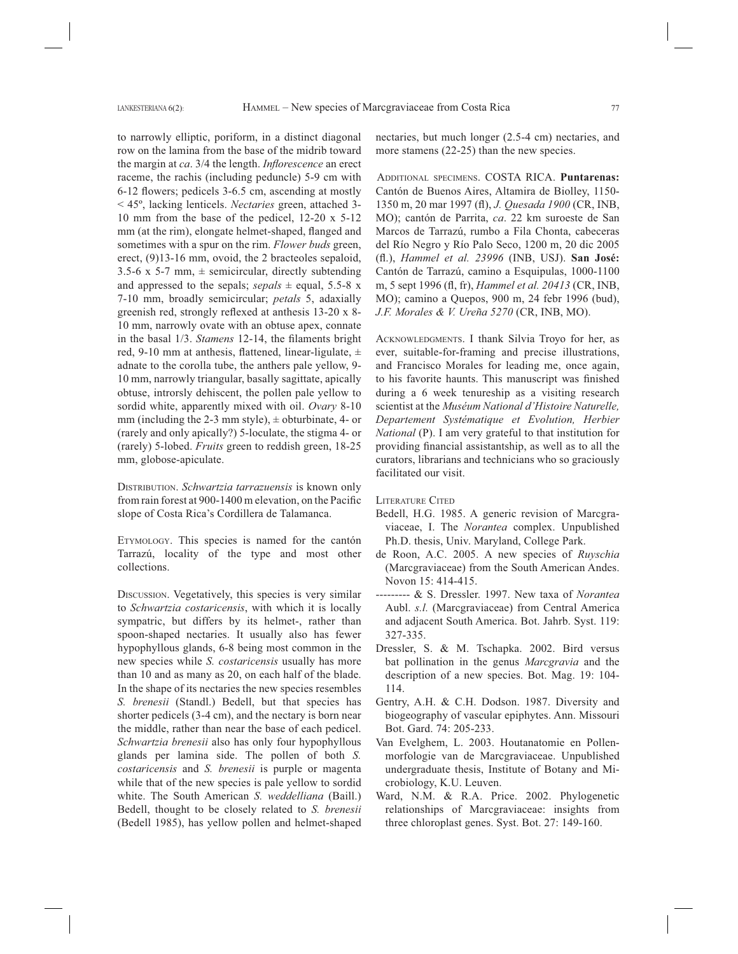to narrowly elliptic, poriform, in a distinct diagonal row on the lamina from the base of the midrib toward the margin at *ca*. 3/4 the length. *Inflorescence* an erect raceme, the rachis (including peduncle) 5-9 cm with 6-12 flowers; pedicels 3-6.5 cm, ascending at mostly < 45º, lacking lenticels. *Nectaries* green, attached 3- 10 mm from the base of the pedicel, 12-20 x 5-12 mm (at the rim), elongate helmet-shaped, flanged and sometimes with a spur on the rim. *Flower buds* green, erect, (9)13-16 mm, ovoid, the 2 bracteoles sepaloid, 3.5-6 x 5-7 mm,  $\pm$  semicircular, directly subtending and appressed to the sepals;  $sepals \pm \text{equal}, 5.5-8 \text{ x}$ 7-10 mm, broadly semicircular; *petals* 5, adaxially greenish red, strongly reflexed at anthesis  $13-20 \times 8$ -10 mm, narrowly ovate with an obtuse apex, connate in the basal 1/3. *Stamens* 12-14, the filaments bright red, 9-10 mm at anthesis, flattened, linear-ligulate,  $\pm$ adnate to the corolla tube, the anthers pale yellow, 9- 10 mm, narrowly triangular, basally sagittate, apically obtuse, introrsly dehiscent, the pollen pale yellow to sordid white, apparently mixed with oil. *Ovary* 8-10 mm (including the 2-3 mm style),  $\pm$  obturbinate, 4- or (rarely and only apically?) 5-loculate, the stigma 4- or (rarely) 5-lobed. *Fruits* green to reddish green, 18-25 mm, globose-apiculate.

DISTRIBUTION. *Schwartzia tarrazuensis* is known only from rain forest at 900-1400 m elevation, on the Pacific slope of Costa Rica's Cordillera de Talamanca.

ETYMOLOGY. This species is named for the cantón Tarrazú, locality of the type and most other collections.

DISCUSSION. Vegetatively, this species is very similar to *Schwartzia costaricensis*, with which it is locally sympatric, but differs by its helmet-, rather than spoon-shaped nectaries. It usually also has fewer hypophyllous glands, 6-8 being most common in the new species while *S. costaricensis* usually has more than 10 and as many as 20, on each half of the blade. In the shape of its nectaries the new species resembles *S. brenesii* (Standl.) Bedell, but that species has shorter pedicels (3-4 cm), and the nectary is born near the middle, rather than near the base of each pedicel. *Schwartzia brenesii* also has only four hypophyllous glands per lamina side. The pollen of both *S. costaricensis* and *S. brenesii* is purple or magenta while that of the new species is pale yellow to sordid white. The South American *S. weddelliana* (Baill.) Bedell, thought to be closely related to *S. brenesii* (Bedell 1985), has yellow pollen and helmet-shaped

nectaries, but much longer (2.5-4 cm) nectaries, and more stamens (22-25) than the new species.

ADDITIONAL SPECIMENS. COSTA RICA. **Puntarenas:** Cantón de Buenos Aires, Altamira de Biolley, 1150- 1350 m, 20 mar 1997 (fl), *J. Quesada 1900* (CR, INB, MO); cantón de Parrita, *ca*. 22 km suroeste de San Marcos de Tarrazú, rumbo a Fila Chonta, cabeceras del Río Negro y Río Palo Seco, 1200 m, 20 dic 2005 (fl .), *Hammel et al. 23996* (INB, USJ). **San José:** Cantón de Tarrazú, camino a Esquipulas, 1000-1100 m, 5 sept 1996 (fl , fr), *Hammel et al. 20413* (CR, INB, MO); camino a Quepos, 900 m, 24 febr 1996 (bud), *J.F. Morales & V. Ureña 5270* (CR, INB, MO).

ACKNOWLEDGMENTS. I thank Silvia Troyo for her, as ever, suitable-for-framing and precise illustrations, and Francisco Morales for leading me, once again, to his favorite haunts. This manuscript was finished during a 6 week tenureship as a visiting research scientist at the *Muséum National d'Histoire Naturelle, Departement Systématique et Evolution, Herbier National* (P). I am very grateful to that institution for providing financial assistantship, as well as to all the curators, librarians and technicians who so graciously facilitated our visit.

LITERATURE CITED

- Bedell, H.G. 1985. A generic revision of Marcgraviaceae, I. The *Norantea* complex. Unpublished Ph.D. thesis, Univ. Maryland, College Park.
- de Roon, A.C. 2005. A new species of *Ruyschia* (Marcgraviaceae) from the South American Andes. Novon 15: 414-415.
- --------- & S. Dressler. 1997. New taxa of *Norantea* Aubl. *s.l.* (Marcgraviaceae) from Central America and adjacent South America. Bot. Jahrb. Syst. 119: 327-335.
- Dressler, S. & M. Tschapka. 2002. Bird versus bat pollination in the genus *Marcgravia* and the description of a new species. Bot. Mag. 19: 104- 114.
- Gentry, A.H. & C.H. Dodson. 1987. Diversity and biogeography of vascular epiphytes. Ann. Missouri Bot. Gard. 74: 205-233.
- Van Evelghem, L. 2003. Houtanatomie en Pollenmorfologie van de Marcgraviaceae. Unpublished undergraduate thesis, Institute of Botany and Microbiology, K.U. Leuven.
- Ward, N.M. & R.A. Price. 2002. Phylogenetic relationships of Marcgraviaceae: insights from three chloroplast genes. Syst. Bot. 27: 149-160.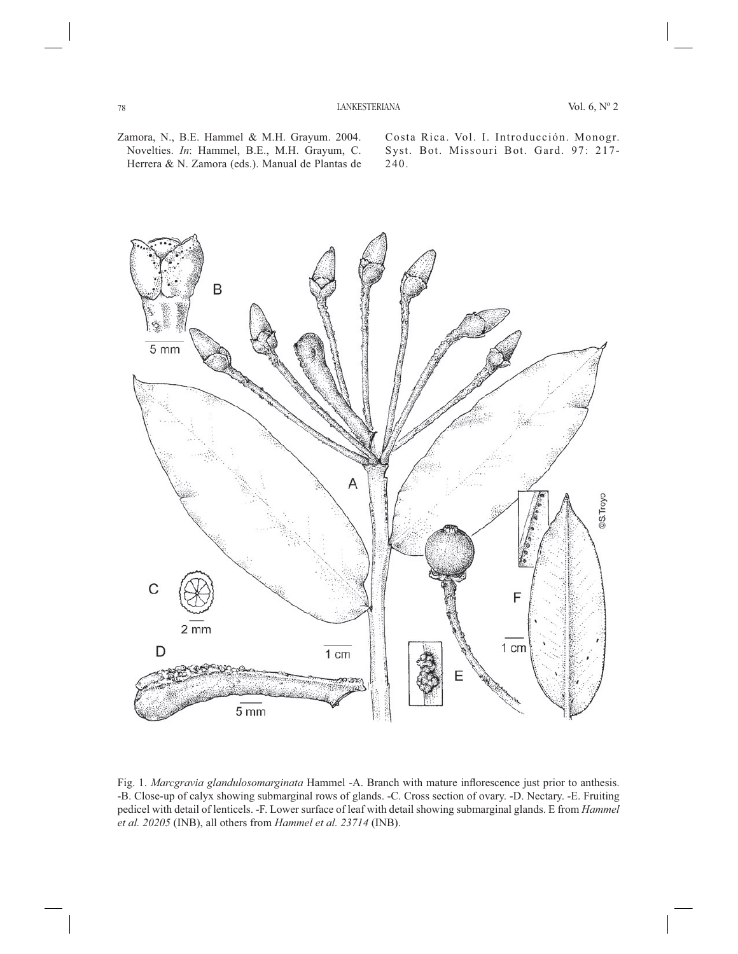Zamora, N., B.E. Hammel & M.H. Grayum. 2004. Novelties. *In*: Hammel, B.E., M.H. Grayum, C. Herrera & N. Zamora (eds.). Manual de Plantas de Costa Rica. Vol. I. Introducción. Monogr. Syst. Bot. Missouri Bot. Gard. 97: 217- 240.



Fig. 1. *Marcgravia glandulosomarginata* Hammel -A. Branch with mature inflorescence just prior to anthesis. -B. Close-up of calyx showing submarginal rows of glands. -C. Cross section of ovary. -D. Nectary. -E. Fruiting pedicel with detail of lenticels. -F. Lower surface of leaf with detail showing submarginal glands. E from *Hammel et al. 20205* (INB), all others from *Hammel et al. 23714* (INB).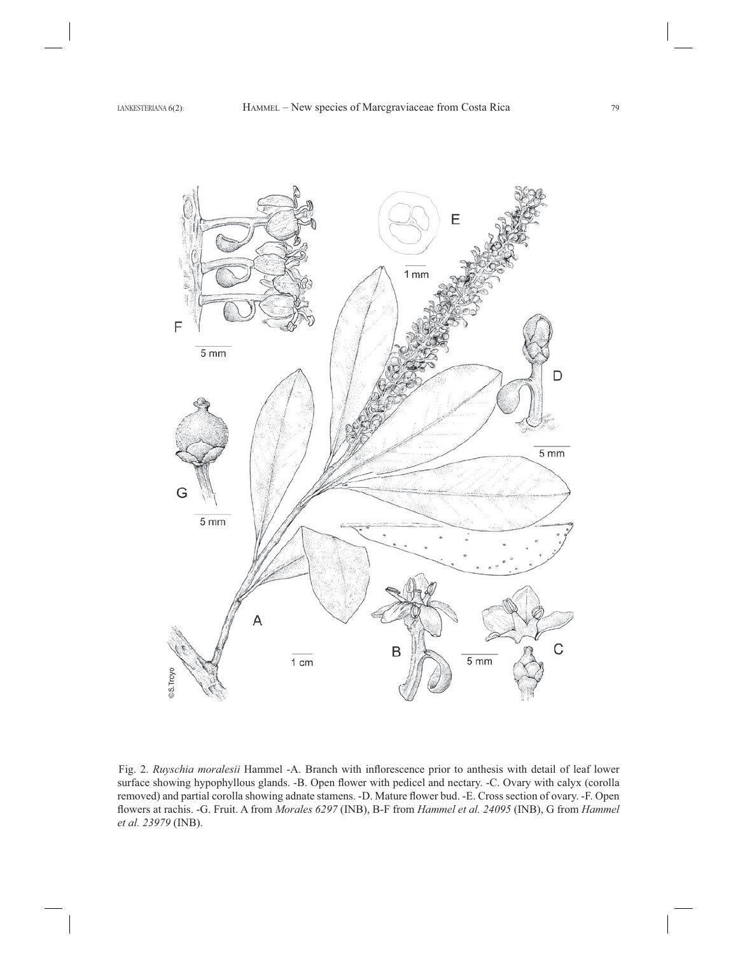

Fig. 2. Ruyschia moralesii Hammel -A. Branch with inflorescence prior to anthesis with detail of leaf lower surface showing hypophyllous glands. -B. Open flower with pedicel and nectary. -C. Ovary with calyx (corolla removed) and partial corolla showing adnate stamens. -D. Mature flower bud. -E. Cross section of ovary. -F. Open flowers at rachis. -G. Fruit. A from *Morales 6297* (INB), B-F from *Hammel et al. 24095* (INB), G from *Hammel et al. 23979* (INB).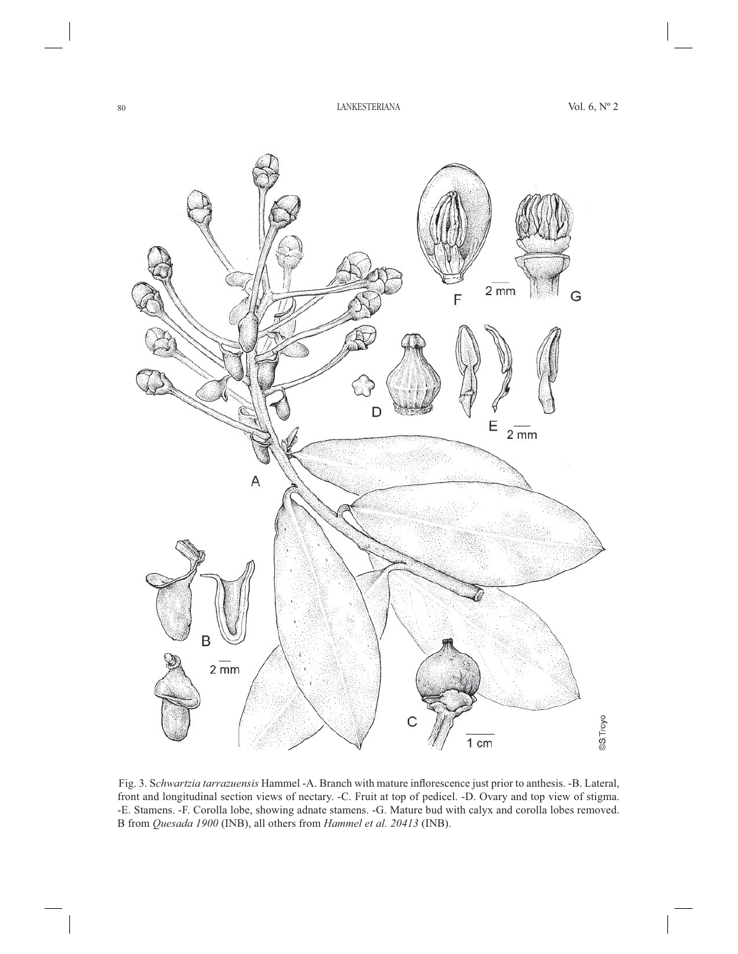

Fig. 3. Schwartzia tarrazuensis Hammel -A. Branch with mature inflorescence just prior to anthesis. -B. Lateral, front and longitudinal section views of nectary. -C. Fruit at top of pedicel. -D. Ovary and top view of stigma. -E. Stamens. -F. Corolla lobe, showing adnate stamens. -G. Mature bud with calyx and corolla lobes removed. B from *Quesada 1900* (INB), all others from *Hammel et al. 20413* (INB).